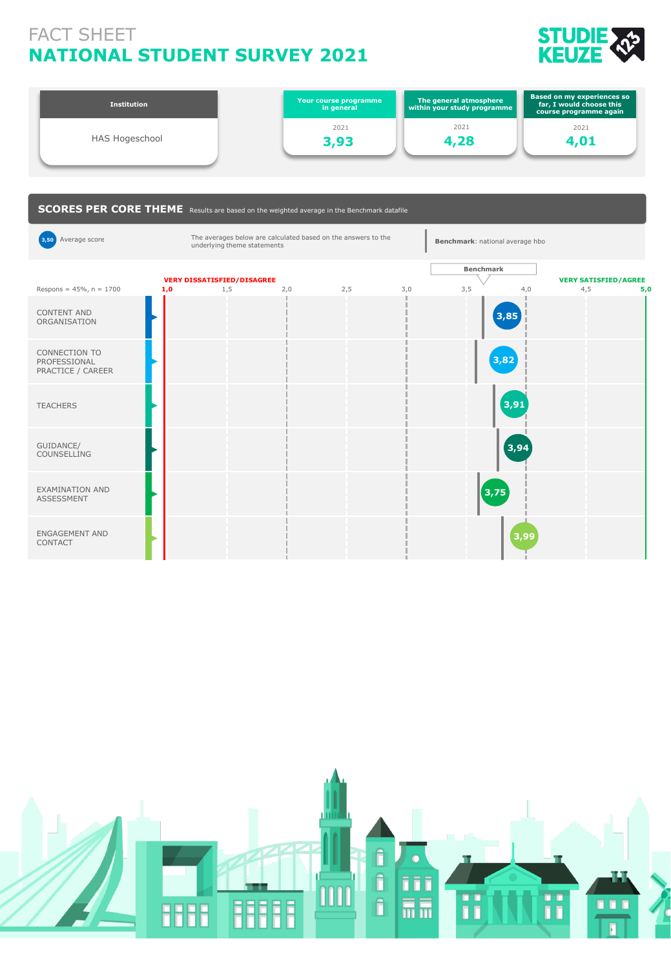## **NATIONAL STUDENT SURVEY 2021** FACT SHEET



| <b>Institution</b> | Your course programme<br>in general | The general atmosphere<br>within your study programme | <b>Based on my experiences so</b><br>far, I would choose this<br>course programme again |
|--------------------|-------------------------------------|-------------------------------------------------------|-----------------------------------------------------------------------------------------|
|                    | 2021                                | 2021                                                  | 2021                                                                                    |
| HAS Hogeschool     | 3,93                                | 4,28                                                  | 4.01                                                                                    |
|                    |                                     |                                                       |                                                                                         |